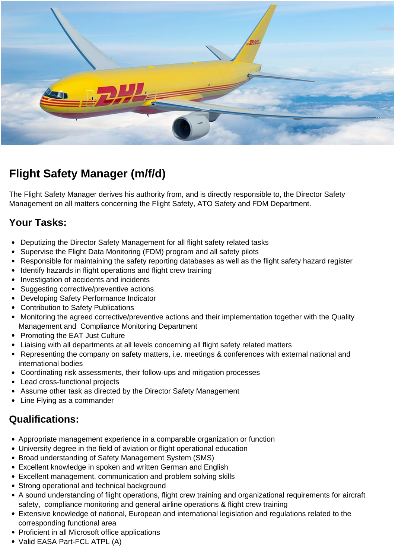

# **Flight Safety Manager (m/f/d)**

The Flight Safety Manager derives his authority from, and is directly responsible to, the Director Safety Management on all matters concerning the Flight Safety, ATO Safety and FDM Department.

#### **Your Tasks:**

- Deputizing the Director Safety Management for all flight safety related tasks
- Supervise the Flight Data Monitoring (FDM) program and all safety pilots
- Responsible for maintaining the safety reporting databases as well as the flight safety hazard register
- Identify hazards in flight operations and flight crew training
- Investigation of accidents and incidents
- Suggesting corrective/preventive actions
- Developing Safety Performance Indicator
- Contribution to Safety Publications
- Monitoring the agreed corrective/preventive actions and their implementation together with the Quality Management and Compliance Monitoring Department
- Promoting the EAT Just Culture
- Liaising with all departments at all levels concerning all flight safety related matters
- Representing the company on safety matters, i.e. meetings & conferences with external national and international bodies
- Coordinating risk assessments, their follow-ups and mitigation processes
- Lead cross-functional projects
- Assume other task as directed by the Director Safety Management
- Line Flying as a commander

## **Qualifications:**

- Appropriate management experience in a comparable organization or function
- University degree in the field of aviation or flight operational education
- Broad understanding of Safety Management System (SMS)
- Excellent knowledge in spoken and written German and English
- Excellent management, communication and problem solving skills
- Strong operational and technical background
- A sound understanding of flight operations, flight crew training and organizational requirements for aircraft safety, compliance monitoring and general airline operations & flight crew training
- Extensive knowledge of national, European and international legislation and regulations related to the corresponding functional area
- Proficient in all Microsoft office applications
- Valid EASA Part-FCL ATPL (A)